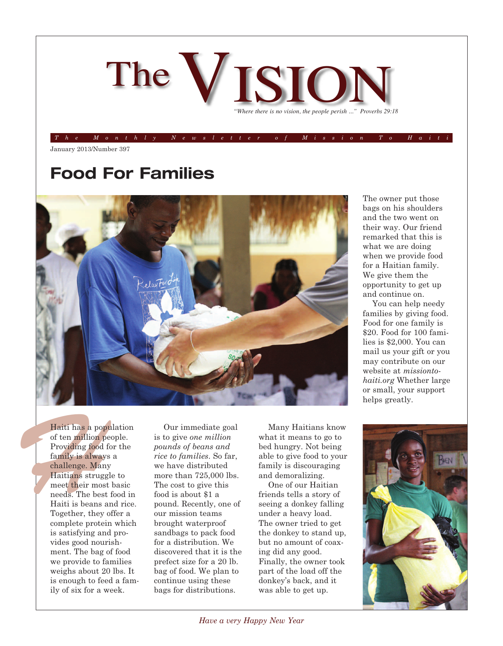

The Monthly Newsletter of Mission To Hait

January 2013/Number 397

### **Food For Families**



The owner put those bags on his shoulders and the two went on their way. Our friend remarked that this is what we are doing when we provide food for a Haitian family. We give them the opportunity to get up and continue on.

You can help needy families by giving food. Food for one family is \$20. Food for 100 families is \$2,000. You can mail us your gift or you may contribute on our website at *missiontohaiti.org* Whether large or small, your support helps greatly.

Haiti has a pop<br>of ten million **p**<br>Providing food<br>family is alway<br>challenge. Mar<br>Haitians strug<br>meet their mos<br>needs. The bes<br>Haiti is beans<br>Together, they<br>complete prote Haiti has a population of ten million people. Providing food for the family is always a challenge. Many Haitians struggle to meet their most basic needs. The best food in Haiti is beans and rice. Together, they offer a complete protein which is satisfying and provides good nourishment. The bag of food we provide to families weighs about 20 lbs. It is enough to feed a family of six for a week.

Our immediate goal is to give *one million pounds of beans and rice to families*. So far, we have distributed more than 725,000 lbs. The cost to give this food is about \$1 a pound. Recently, one of our mission teams brought waterproof sandbags to pack food for a distribution. We discovered that it is the prefect size for a 20 lb. bag of food. We plan to continue using these bags for distributions.

Many Haitians know what it means to go to bed hungry. Not being able to give food to your family is discouraging and demoralizing.

One of our Haitian friends tells a story of seeing a donkey falling under a heavy load. The owner tried to get the donkey to stand up, but no amount of coaxing did any good. Finally, the owner took part of the load off the donkey's back, and it was able to get up.